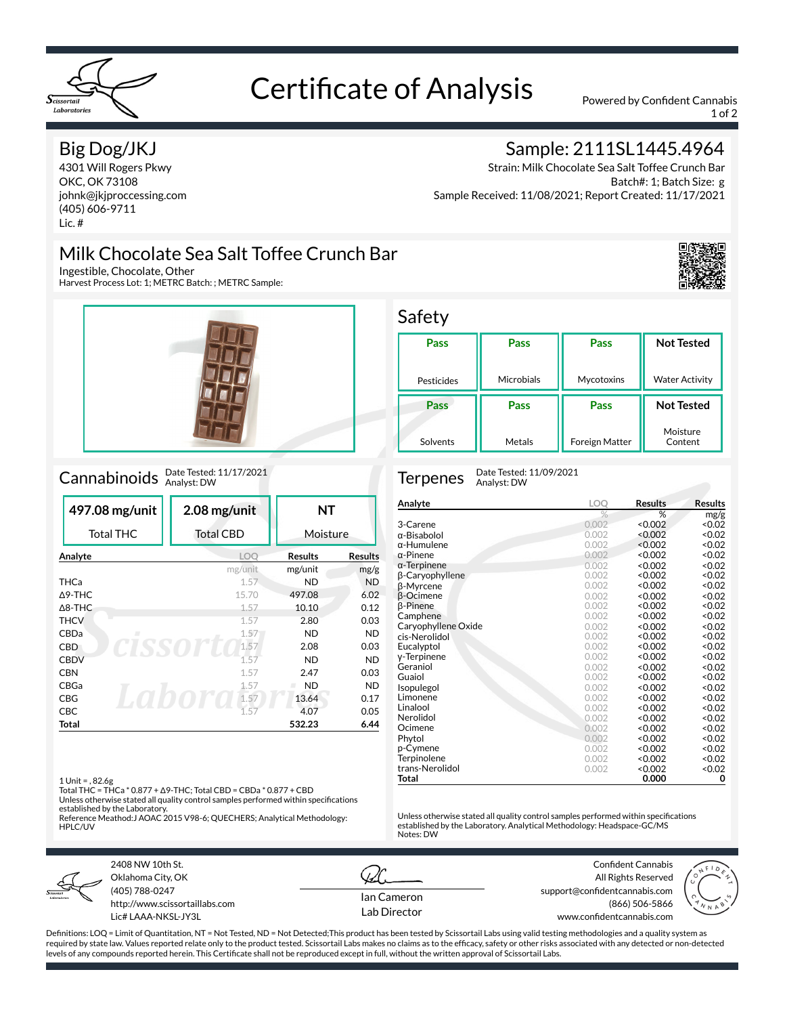

# Certificate of Analysis Powered by Confident Cannabis

1 of 2

#### Big Dog/JKJ

4301 Will Rogers Pkwy OKC, OK 73108 johnk@jkjproccessing.com (405) 606-9711 Lic. #

## Milk Chocolate Sea Salt Toffee Crunch Bar

Ingestible, Chocolate, Other

Harvest Process Lot: 1; METRC Batch: ; METRC Sample:



## Cannabinoids Date Tested: 11/17/2021

|                            | 497.08 mg/unit      | 2.08 mg/unit     | ΝT             |                |
|----------------------------|---------------------|------------------|----------------|----------------|
|                            | <b>Total THC</b>    | <b>Total CBD</b> | Moisture       |                |
|                            | Analyte             | <b>LOO</b>       | <b>Results</b> | <b>Results</b> |
|                            |                     | mg/unit          | mg/unit        | mg/g           |
|                            | THCa                | 1.57             | ND             | <b>ND</b>      |
| $\triangle$ 9-THC<br>15.70 |                     |                  | 497.08         | 6.02           |
| $\triangle$ 8-THC          |                     | 1.57             | 10.10          | 0.12           |
|                            | <b>THCV</b><br>1.57 |                  | 2.80           | 0.03           |
|                            | CBDa<br>п           | 1.57             | <b>ND</b>      | <b>ND</b>      |
|                            | <b>CBD</b>          | 1.57             | 2.08           | 0.03           |
|                            | <b>CBDV</b>         | 1.57             | <b>ND</b>      | <b>ND</b>      |
|                            | <b>CBN</b>          | 1.57             | 2.47           | 0.03           |
|                            | CBGa                | <b>ND</b>        | <b>ND</b>      |                |
|                            | CBG                 | 1.57             | 13.64          | 0.17           |
|                            | <b>CBC</b>          | 1.57             | 4.07           | 0.05           |
|                            | Total               |                  | 532.23         | 6.44           |

1 Unit = , 82.6g

Total THC = THCa \* 0.877 + Δ9-THC; Total CBD = CBDa \* 0.877 + CBD

Unless otherwise stated all quality control samples performed within specifications established by the Laboratory. Reference Meathod:J AOAC 2015 V98-6; QUECHERS; Analytical Methodology:

HPLC/UV



2408 NW 10th St. Oklahoma City, OK (405) 788-0247 http://www.scissortaillabs.com Lic# LAAA-NKSL-JY3L

Ian Cameron Lab Director

Notes: DW

Confident Cannabis All Rights Reserved support@confidentcannabis.com (866) 506-5866

www.confidentcannabis.com



Definitions: LOQ = Limit of Quantitation, NT = Not Tested, ND = Not Detected;This product has been tested by Scissortail Labs using valid testing methodologies and a quality system as required by state law. Values reported relate only to the product tested. Scissortail Labs makes no claims as to the efficacy, safety or other risks associated with any detected or non-detected levels of any compounds reported herein. This Certificate shall not be reproduced except in full, without the written approval of Scissortail Labs.

### Sample: 2111SL1445.4964

Strain: Milk Chocolate Sea Salt Toffee Crunch Bar Batch#: 1; Batch Size: g Sample Received: 11/08/2021; Report Created: 11/17/2021





Terpenes Date Tested: 11/09/2021 Analyst: DW

| Analyte             | LOO   | <b>Results</b> | Results |
|---------------------|-------|----------------|---------|
|                     | %     | %              | mg/g    |
| 3-Carene            | 0.002 | < 0.002        | < 0.02  |
| α-Bisabolol         | 0.002 | < 0.002        | < 0.02  |
| α-Humulene          | 0.002 | < 0.002        | <0.02   |
| $\alpha$ -Pinene    | 0.002 | < 0.002        | < 0.02  |
| $\alpha$ -Terpinene | 0.002 | < 0.002        | <0.02   |
| β-Caryophyllene     | 0.002 | < 0.002        | <0.02   |
| β-Myrcene           | 0.002 | < 0.002        | < 0.02  |
| <b>B-Ocimene</b>    | 0.002 | < 0.002        | < 0.02  |
| β-Pinene            | 0.002 | < 0.002        | <0.02   |
| Camphene            | 0.002 | < 0.002        | < 0.02  |
| Caryophyllene Oxide | 0.002 | < 0.002        | <0.02   |
| cis-Nerolidol       | 0.002 | < 0.002        | < 0.02  |
| Eucalyptol          | 0.002 | < 0.002        | < 0.02  |
| y-Terpinene         | 0.002 | < 0.002        | < 0.02  |
| Geraniol            | 0.002 | < 0.002        | < 0.02  |
| Guaiol              | 0.002 | < 0.002        | <0.02   |
| Isopulegol          | 0.002 | < 0.002        | < 0.02  |
| Limonene            | 0.002 | < 0.002        | <0.02   |
| Linalool            | 0.002 | < 0.002        | <0.02   |
| Nerolidol           | 0.002 | < 0.002        | < 0.02  |
| Ocimene             | 0.002 | < 0.002        | < 0.02  |
| Phytol              | 0.002 | < 0.002        | <0.02   |
| p-Cymene            | 0.002 | < 0.002        | <0.02   |
| Terpinolene         | 0.002 | < 0.002        | <0.02   |
| trans-Nerolidol     | 0.002 | < 0.002        | < 0.02  |
| Total               |       | 0.000          | 0       |

Unless otherwise stated all quality control samples performed within specifications established by the Laboratory. Analytical Methodology: Headspace-GC/MS